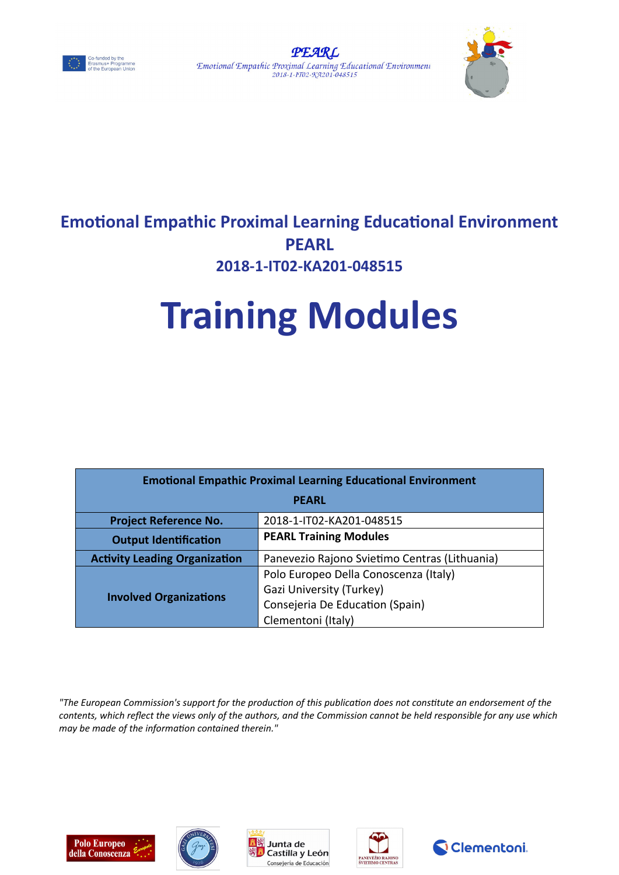





# **Emotional Empathic Proximal Learning Educational Environment PEARL 2018-1-IT02-KA201-048515**

# **Training Modules**

| <b>Emotional Empathic Proximal Learning Educational Environment</b> |                                               |  |  |  |  |
|---------------------------------------------------------------------|-----------------------------------------------|--|--|--|--|
| <b>PEARL</b>                                                        |                                               |  |  |  |  |
| <b>Project Reference No.</b>                                        | 2018-1-IT02-KA201-048515                      |  |  |  |  |
| <b>Output Identification</b>                                        | <b>PEARL Training Modules</b>                 |  |  |  |  |
| <b>Activity Leading Organization</b>                                | Panevezio Rajono Svietimo Centras (Lithuania) |  |  |  |  |
| <b>Involved Organizations</b>                                       | Polo Europeo Della Conoscenza (Italy)         |  |  |  |  |
|                                                                     | Gazi University (Turkey)                      |  |  |  |  |
|                                                                     | Consejeria De Education (Spain)               |  |  |  |  |
|                                                                     | Clementoni (Italy)                            |  |  |  |  |

*"The European Commission's support for the production of this publication does not constitute an endorsement of the contents, which reflect the views only of the authors, and the Commission cannot be held responsible for any use which may be made of the information contained therein."*









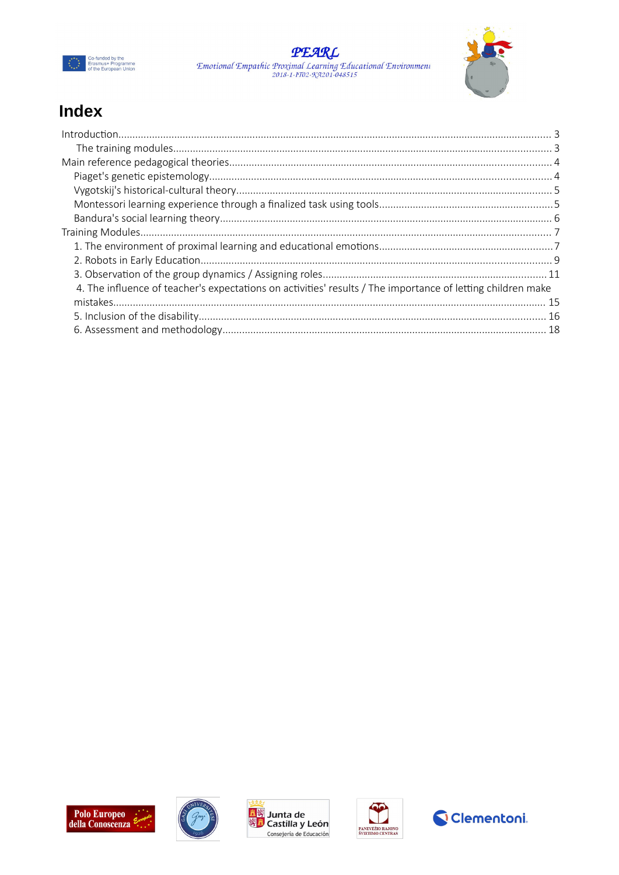





## Index

| 4. The influence of teacher's expectations on activities' results / The importance of letting children make |  |
|-------------------------------------------------------------------------------------------------------------|--|
|                                                                                                             |  |
|                                                                                                             |  |
|                                                                                                             |  |









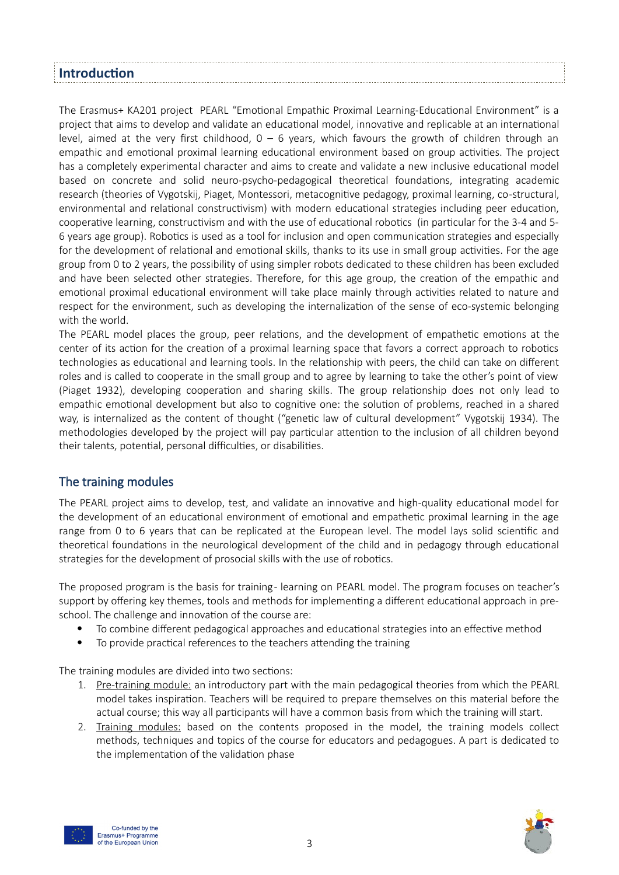## <span id="page-2-0"></span>**Introduction**

The Erasmus+ KA201 project PEARL "Emotional Empathic Proximal Learning-Educational Environment" is a project that aims to develop and validate an educational model, innovative and replicable at an international level, aimed at the very first childhood,  $0 - 6$  years, which favours the growth of children through an empathic and emotional proximal learning educational environment based on group activities. The project has a completely experimental character and aims to create and validate a new inclusive educational model based on concrete and solid neuro-psycho-pedagogical theoretical foundations, integrating academic research (theories of Vygotskij, Piaget, Montessori, metacognitive pedagogy, proximal learning, co -structural, environmental and relational constructivism) with modern educational strategies including peer education, cooperative learning, constructivism and with the use of educational robotics (in particular for the 3-4 and 5- 6 years age group). Robotics is used as a tool for inclusion and open communication strategies and especially for the development of relational and emotional skills, thanks to its use in small group activities. For the age group from 0 to 2 years, the possibility of using simpler robots dedicated to these children has been excluded and have been selected other strategies. Therefore, for this age group, the creation of the empathic and emotional proximal educational environment will take place mainly through activities related to nature and respect for the environment, such as developing the internalization of the sense of eco-systemic belonging with the world.

The PEARL model places the group, peer relations, and the development of empathetic emotions at the center of its action for the creation of a proximal learning space that favors a correct approach to robotics technologies as educational and learning tools. In the relationship with peers, the child can take on different roles and is called to cooperate in the small group and to agree by learning to take the other's point of view (Piaget 1932), developing cooperation and sharing skills. The group relationship does not only lead to empathic emotional development but also to cognitive one: the solution of problems, reached in a shared way, is internalized as the content of thought ("genetic law of cultural development" Vygotskij 1934). The methodologies developed by the project will pay particular attention to the inclusion of all children beyond their talents, potential, personal difficulties, or disabilities.

## <span id="page-2-1"></span>The training modules

The PEARL project aims to develop, test, and validate an innovative and high-quality educational model for the development of an educational environment of emotional and empathetic proximal learning in the age range from 0 to 6 years that can be replicated at the European level. The model lays solid scientific and theoretical foundations in the neurological development of the child and in pedagogy through educational strategies for the development of prosocial skills with the use of robotics.

The proposed program is the basis for training - learning on PEARL model. The program focuses on teacher's support by offering key themes, tools and methods for implementing a different educational approach in preschool. The challenge and innovation of the course are:

- To combine different pedagogical approaches and educational strategies into an effective method
- To provide practical references to the teachers attending the training

The training modules are divided into two sections:

- 1. Pre-training module: an introductory part with the main pedagogical theories from which the PEARL model takes inspiration. Teachers will be required to prepare themselves on this material before the actual course; this way all participants will have a common basis from which the training will start.
- 2. Training modules: based on the contents proposed in the model, the training models collect methods, techniques and topics of the course for educators and pedagogues. A part is dedicated to the implementation of the validation phase



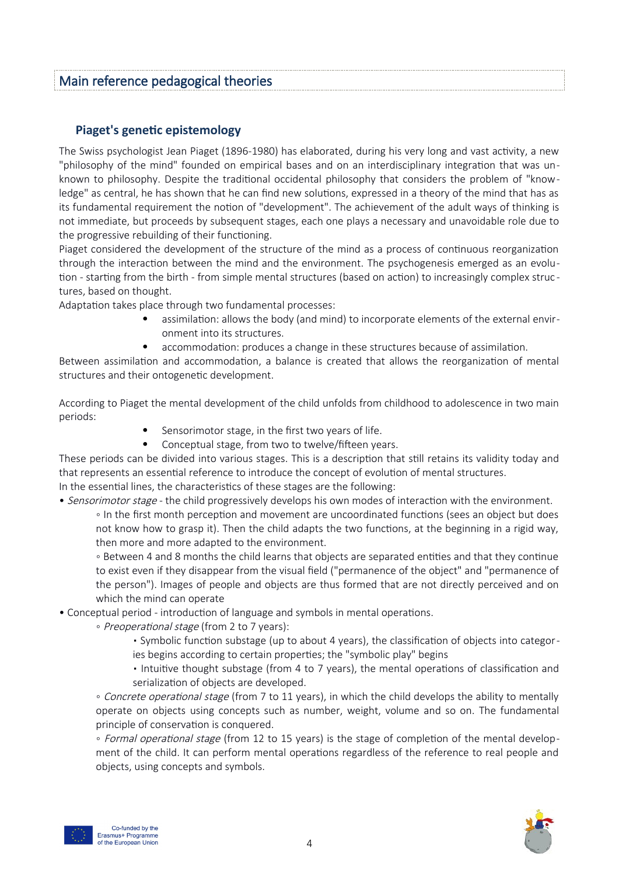## <span id="page-3-1"></span>Main reference pedagogical theories

## <span id="page-3-0"></span>**Piaget's genetic epistemology**

The Swiss psychologist Jean Piaget (1896-1980) has elaborated, during his very long and vast activity, a new "philosophy of the mind" founded on empirical bases and on an interdisciplinary integration that was unknown to philosophy. Despite the traditional occidental philosophy that considers the problem of "knowledge" as central, he has shown that he can find new solutions, expressed in a theory of the mind that has as its fundamental requirement the notion of "development". The achievement of the adult ways of thinking is not immediate, but proceeds by subsequent stages, each one plays a necessary and unavoidable role due to the progressive rebuilding of their functioning.

Piaget considered the development of the structure of the mind as a process of continuous reorganization through the interaction between the mind and the environment. The psychogenesis emerged as an evolution - starting from the birth - from simple mental structures (based on action) to increasingly complex struc tures, based on thought.

Adaptation takes place through two fundamental processes:

- assimilation: allows the body (and mind) to incorporate elements of the external environment into its structures.
- accommodation: produces a change in these structures because of assimilation.

Between assimilation and accommodation, a balance is created that allows the reorganization of mental structures and their ontogenetic development.

According to Piaget the mental development of the child unfolds from childhood to adolescence in two main periods:

- Sensorimotor stage, in the first two years of life.
- Conceptual stage, from two to twelve/fifteen years.

These periods can be divided into various stages. This is a description that still retains its validity today and that represents an essential reference to introduce the concept of evolution of mental structures. In the essential lines, the characteristics of these stages are the following:

• Sensorimotor stage - the child progressively develops his own modes of interaction with the environment.

◦ In the first month perception and movement are uncoordinated functions (sees an object but does not know how to grasp it). Then the child adapts the two functions, at the beginning in a rigid way, then more and more adapted to the environment.

◦ Between 4 and 8 months the child learns that objects are separated entities and that they continue to exist even if they disappear from the visual field ("permanence of the object" and "permanence of the person"). Images of people and objects are thus formed that are not directly perceived and on which the mind can operate

• Conceptual period - introduction of language and symbols in mental operations.

◦ Preoperational stage (from 2 to 7 years):

▪ Symbolic function substage (up to about 4 years), the classification of objects into categories begins according to certain properties; the "symbolic play" begins

▪ Intuitive thought substage (from 4 to 7 years), the mental operations of classification and serialization of objects are developed.

◦ Concrete operational stage (from 7 to 11 years), in which the child develops the ability to mentally operate on objects using concepts such as number, weight, volume and so on. The fundamental principle of conservation is conquered.

◦ Formal operational stage (from 12 to 15 years) is the stage of completion of the mental development of the child. It can perform mental operations regardless of the reference to real people and objects, using concepts and symbols.



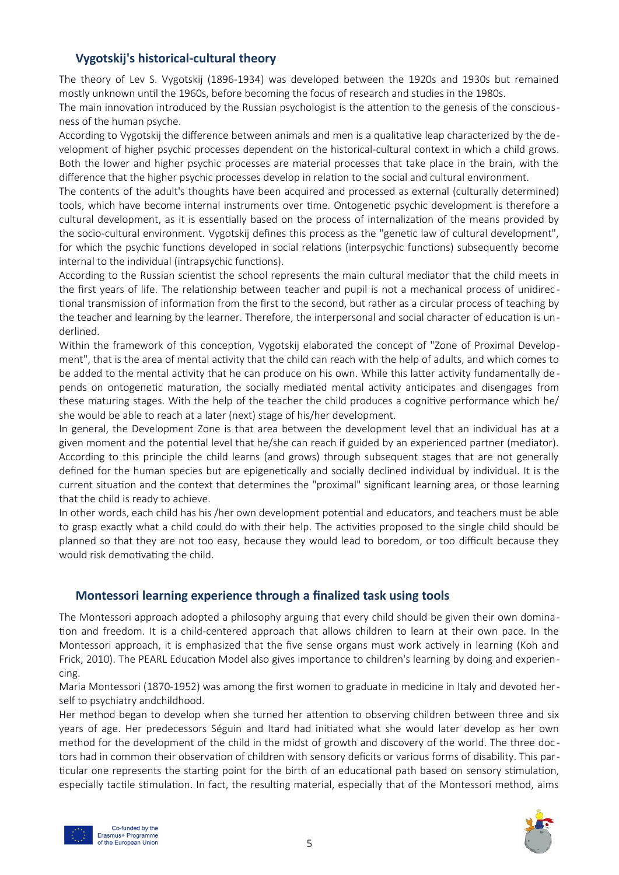## <span id="page-4-1"></span>**Vygotskij's historical-cultural theory**

The theory of Lev S. Vygotskij (1896-1934) was developed between the 1920s and 1930s but remained mostly unknown until the 1960s, before becoming the focus of research and studies in the 1980s.

The main innovation introduced by the Russian psychologist is the attention to the genesis of the consciousness of the human psyche.

According to Vygotskij the difference between animals and men is a qualitative leap characterized by the development of higher psychic processes dependent on the historical-cultural context in which a child grows. Both the lower and higher psychic processes are material processes that take place in the brain, with the difference that the higher psychic processes develop in relation to the social and cultural environment.

The contents of the adult's thoughts have been acquired and processed as external (culturally determined) tools, which have become internal instruments over time. Ontogenetic psychic development is therefore a cultural development, as it is essentially based on the process of internalization of the means provided by the socio-cultural environment. Vygotskij defines this process as the "genetic law of cultural development", for which the psychic functions developed in social relations (interpsychic functions) subsequently become internal to the individual (intrapsychic functions).

According to the Russian scientist the school represents the main cultural mediator that the child meets in the first years of life. The relationship between teacher and pupil is not a mechanical process of unidirec tional transmission of information from the first to the second, but rather as a circular process of teaching by the teacher and learning by the learner. Therefore, the interpersonal and social character of education is underlined.

Within the framework of this conception, Vygotskij elaborated the concept of "Zone of Proximal Development", that is the area of mental activity that the child can reach with the help of adults, and which comes to be added to the mental activity that he can produce on his own. While this latter activity fundamentally de pends on ontogenetic maturation, the socially mediated mental activity anticipates and disengages from these maturing stages. With the help of the teacher the child produces a cognitive performance which he/ she would be able to reach at a later (next) stage of his/her development.

In general, the Development Zone is that area between the development level that an individual has at a given moment and the potential level that he/she can reach if guided by an experienced partner (mediator). According to this principle the child learns (and grows) through subsequent stages that are not generally defined for the human species but are epigenetically and socially declined individual by individual. It is the current situation and the context that determines the "proximal" significant learning area, or those learning that the child is ready to achieve.

In other words, each child has his /her own development potential and educators, and teachers must be able to grasp exactly what a child could do with their help. The activities proposed to the single child should be planned so that they are not too easy, because they would lead to boredom, or too difficult because they would risk demotivating the child.

## <span id="page-4-0"></span>**Montessori learning experience through a finalized task using tools**

The Montessori approach adopted a philosophy arguing that every child should be given their own domination and freedom. It is a child-centered approach that allows children to learn at their own pace. In the Montessori approach, it is emphasized that the five sense organs must work actively in learning (Koh and Frick, 2010). The PEARL Education Model also gives importance to children's learning by doing and experiencing.

Maria Montessori (1870-1952) was among the first women to graduate in medicine in Italy and devoted herself to psychiatry andchildhood.

Her method began to develop when she turned her attention to observing children between three and six years of age. Her predecessors Séguin and Itard had initiated what she would later develop as her own method for the development of the child in the midst of growth and discovery of the world. The three doc tors had in common their observation of children with sensory deficits or various forms of disability. This particular one represents the starting point for the birth of an educational path based on sensory stimulation, especially tactile stimulation. In fact, the resulting material, especially that of the Montessori method, aims



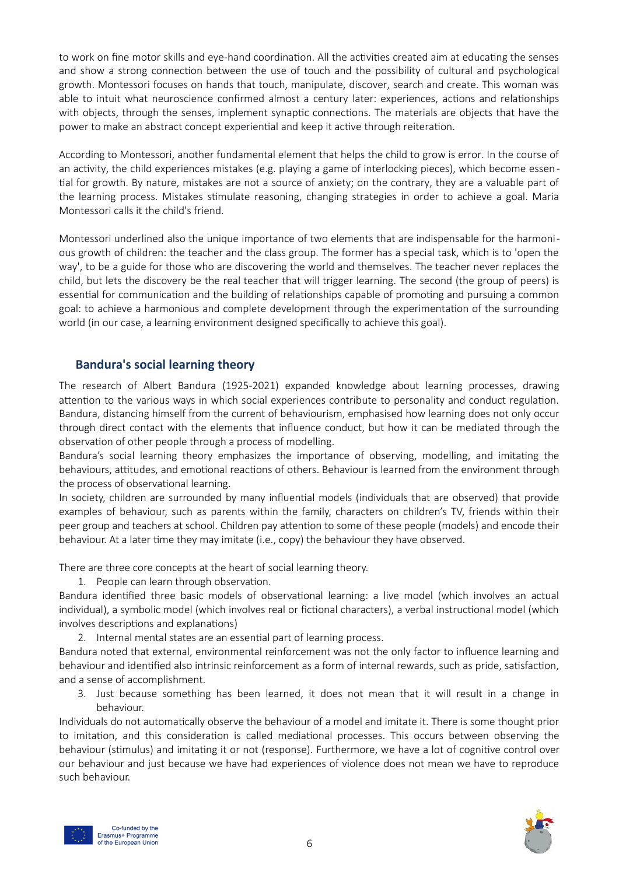to work on fine motor skills and eye-hand coordination. All the activities created aim at educating the senses and show a strong connection between the use of touch and the possibility of cultural and psychological growth. Montessori focuses on hands that touch, manipulate, discover, search and create. This woman was able to intuit what neuroscience confirmed almost a century later: experiences, actions and relationships with objects, through the senses, implement synaptic connections. The materials are objects that have the power to make an abstract concept experiential and keep it active through reiteration.

According to Montessori, another fundamental element that helps the child to grow is error. In the course of an activity, the child experiences mistakes (e.g. playing a game of interlocking pieces), which become essen tial for growth. By nature, mistakes are not a source of anxiety; on the contrary, they are a valuable part of the learning process. Mistakes stimulate reasoning, changing strategies in order to achieve a goal. Maria Montessori calls it the child's friend.

Montessori underlined also the unique importance of two elements that are indispensable for the harmonious growth of children: the teacher and the class group. The former has a special task, which is to 'open the way', to be a guide for those who are discovering the world and themselves. The teacher never replaces the child, but lets the discovery be the real teacher that will trigger learning. The second (the group of peers) is essential for communication and the building of relationships capable of promoting and pursuing a common goal: to achieve a harmonious and complete development through the experimentation of the surrounding world (in our case, a learning environment designed specifically to achieve this goal).

## <span id="page-5-0"></span>**Bandura's social learning theory**

The research of Albert Bandura (1925-2021) expanded knowledge about learning processes, drawing attention to the various ways in which social experiences contribute to personality and conduct regulation. Bandura, distancing himself from the current of behaviourism, emphasised how learning does not only occur through direct contact with the elements that influence conduct, but how it can be mediated through the observation of other people through a process of modelling.

Bandura's social learning theory emphasizes the importance of observing, modelling, and imitating the behaviours, attitudes, and emotional reactions of others. Behaviour is learned from the environment through the process of observational learning.

In society, children are surrounded by many influential models (individuals that are observed) that provide examples of behaviour, such as parents within the family, characters on children's TV, friends within their peer group and teachers at school. Children pay attention to some of these people (models) and encode their behaviour. At a later time they may imitate (i.e., copy) the behaviour they have observed.

There are three core concepts at the heart of social learning theory.

1. People can learn through observation.

Bandura identified three basic models of observational learning: a live model (which involves an actual individual), a symbolic model (which involves real or fictional characters), a verbal instructional model (which involves descriptions and explanations)

2. Internal mental states are an essential part of learning process.

Bandura noted that external, environmental reinforcement was not the only factor to influence learning and behaviour and identified also intrinsic reinforcement as a form of internal rewards, such as pride, satisfaction, and a sense of accomplishment.

3. Just because something has been learned, it does not mean that it will result in a change in behaviour.

Individuals do not automatically observe the behaviour of a model and imitate it. There is some thought prior to imitation, and this consideration is called mediational processes. This occurs between observing the behaviour (stimulus) and imitating it or not (response). Furthermore, we have a lot of cognitive control over our behaviour and just because we have had experiences of violence does not mean we have to reproduce such behaviour.



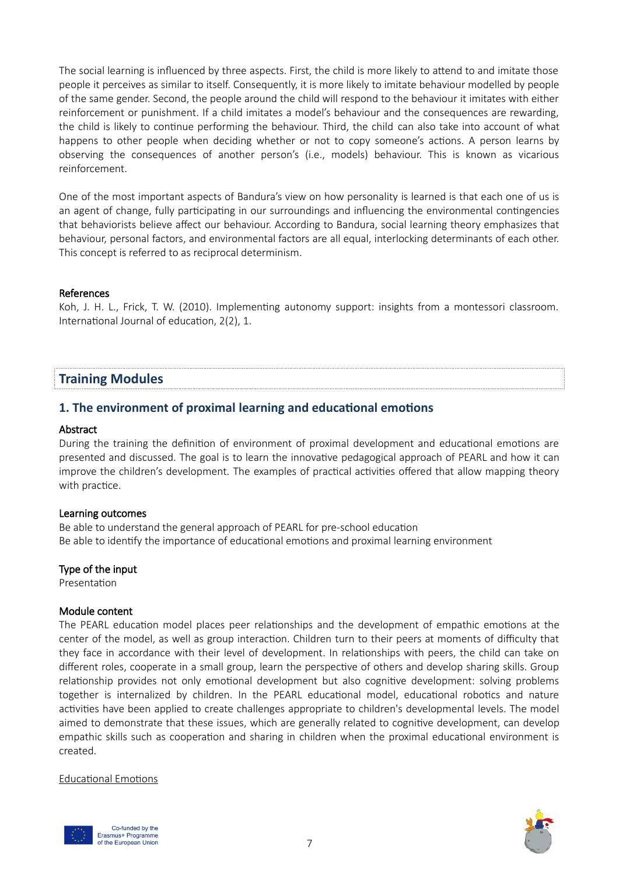The social learning is influenced by three aspects. First, the child is more likely to attend to and imitate those people it perceives as similar to itself. Consequently, it is more likely to imitate behaviour modelled by people of the same gender. Second, the people around the child will respond to the behaviour it imitates with either reinforcement or punishment. If a child imitates a model's behaviour and the consequences are rewarding, the child is likely to continue performing the behaviour. Third, the child can also take into account of what happens to other people when deciding whether or not to copy someone's actions. A person learns by observing the consequences of another person's (i.e., models) behaviour. This is known as vicarious reinforcement.

One of the most important aspects of Bandura's view on how personality is learned is that each one of us is an agent of change, fully participating in our surroundings and influencing the environmental contingencies that behaviorists believe affect our behaviour. According to Bandura, social learning theory emphasizes that behaviour, personal factors, and environmental factors are all equal, interlocking determinants of each other. This concept is referred to as reciprocal determinism.

#### References

Koh, J. H. L., Frick, T. W. (2010). Implementing autonomy support: insights from a montessori classroom. International Journal of education, 2(2), 1.

## <span id="page-6-1"></span>**Training Modules**

#### <span id="page-6-0"></span>**1. The environment of proximal learning and educational emotions**

#### Abstract

During the training the definition of environment of proximal development and educational emotions are presented and discussed. The goal is to learn the innovative pedagogical approach of PEARL and how it can improve the children's development. The examples of practical activities offered that allow mapping theory with practice.

#### Learning outcomes

Be able to understand the general approach of PEARL for pre-school education Be able to identify the importance of educational emotions and proximal learning environment

#### Type of the input

Presentation

#### Module content

The PEARL education model places peer relationships and the development of empathic emotions at the center of the model, as well as group interaction. Children turn to their peers at moments of difficulty that they face in accordance with their level of development. In relationships with peers, the child can take on different roles, cooperate in a small group, learn the perspective of others and develop sharing skills. Group relationship provides not only emotional development but also cognitive development: solving problems together is internalized by children. In the PEARL educational model, educational robotics and nature activities have been applied to create challenges appropriate to children's developmental levels. The model aimed to demonstrate that these issues, which are generally related to cognitive development, can develop empathic skills such as cooperation and sharing in children when the proximal educational environment is created.

#### Educational Emotions



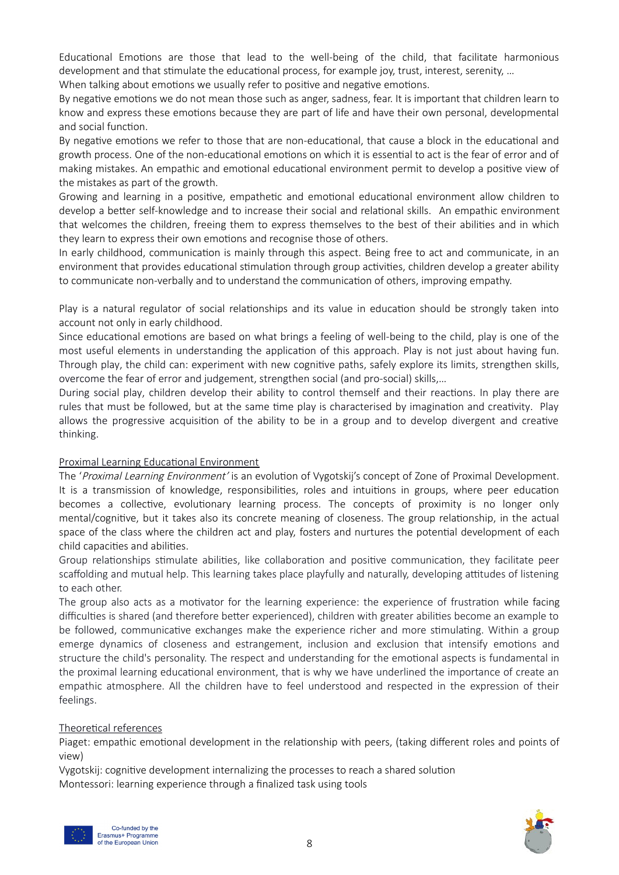Educational Emotions are those that lead to the well-being of the child, that facilitate harmonious development and that stimulate the educational process, for example joy, trust, interest, serenity, …

When talking about emotions we usually refer to positive and negative emotions.

By negative emotions we do not mean those such as anger, sadness, fear. It is important that children learn to know and express these emotions because they are part of life and have their own personal, developmental and social function.

By negative emotions we refer to those that are non-educational, that cause a block in the educational and growth process. One of the non-educational emotions on which it is essential to act is the fear of error and of making mistakes. An empathic and emotional educational environment permit to develop a positive view of the mistakes as part of the growth.

Growing and learning in a positive, empathetic and emotional educational environment allow children to develop a better self-knowledge and to increase their social and relational skills. An empathic environment that welcomes the children, freeing them to express themselves to the best of their abilities and in which they learn to express their own emotions and recognise those of others.

In early childhood, communication is mainly through this aspect. Being free to act and communicate, in an environment that provides educational stimulation through group activities, children develop a greater ability to communicate non-verbally and to understand the communication of others, improving empathy.

Play is a natural regulator of social relationships and its value in education should be strongly taken into account not only in early childhood.

Since educational emotions are based on what brings a feeling of well-being to the child, play is one of the most useful elements in understanding the application of this approach. Play is not just about having fun. Through play, the child can: experiment with new cognitive paths, safely explore its limits, strengthen skills, overcome the fear of error and judgement, strengthen social (and pro-social) skills,…

During social play, children develop their ability to control themself and their reactions. In play there are rules that must be followed, but at the same time play is characterised by imagination and creativity. Play allows the progressive acquisition of the ability to be in a group and to develop divergent and creative thinking.

## Proximal Learning Educational Environment

The 'Proximal Learning Environment' is an evolution of Vygotskij's concept of Zone of Proximal Development. It is a transmission of knowledge, responsibilities, roles and intuitions in groups, where peer education becomes a collective, evolutionary learning process. The concepts of proximity is no longer only mental/cognitive, but it takes also its concrete meaning of closeness. The group relationship, in the actual space of the class where the children act and play, fosters and nurtures the potential development of each child capacities and abilities.

Group relationships stimulate abilities, like collaboration and positive communication, they facilitate peer scaffolding and mutual help. This learning takes place playfully and naturally, developing attitudes of listening to each other.

The group also acts as a motivator for the learning experience: the experience of frustration while facing difficulties is shared (and therefore better experienced), children with greater abilities become an example to be followed, communicative exchanges make the experience richer and more stimulating. Within a group emerge dynamics of closeness and estrangement, inclusion and exclusion that intensify emotions and structure the child's personality. The respect and understanding for the emotional aspects is fundamental in the proximal learning educational environment, that is why we have underlined the importance of create an empathic atmosphere. All the children have to feel understood and respected in the expression of their feelings.

#### Theoretical references

Piaget: empathic emotional development in the relationship with peers, (taking different roles and points of view)

Vygotskij: cognitive development internalizing the processes to reach a shared solution Montessori: learning experience through a finalized task using tools



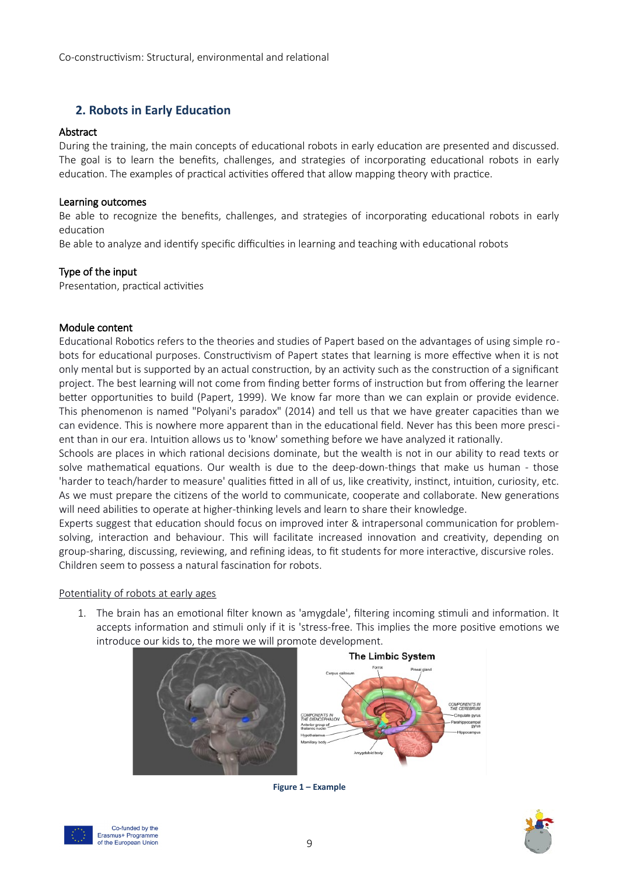## <span id="page-8-0"></span>**2. Robots in Early Education**

#### Abstract

During the training, the main concepts of educational robots in early education are presented and discussed. The goal is to learn the benefits, challenges, and strategies of incorporating educational robots in early education. The examples of practical activities offered that allow mapping theory with practice.

#### Learning outcomes

Be able to recognize the benefits, challenges, and strategies of incorporating educational robots in early education

Be able to analyze and identify specific difficulties in learning and teaching with educational robots

#### Type of the input

Presentation, practical activities

#### Module content

Educational Robotics refers to the theories and studies of Papert based on the advantages of using simple robots for educational purposes. Constructivism of Papert states that learning is more effective when it is not only mental but is supported by an actual construction, by an activity such as the construction of a significant project. The best learning will not come from finding better forms of instruction but from offering the learner better opportunities to build (Papert, 1999). We know far more than we can explain or provide evidence. This phenomenon is named "Polyani's paradox" (2014) and tell us that we have greater capacities than we can evidence. This is nowhere more apparent than in the educational field. Never has this been more prescient than in our era. Intuition allows us to 'know' something before we have analyzed it rationally.

Schools are places in which rational decisions dominate, but the wealth is not in our ability to read texts or solve mathematical equations. Our wealth is due to the deep-down-things that make us human - those 'harder to teach/harder to measure' qualities fitted in all of us, like creativity, instinct, intuition, curiosity, etc. As we must prepare the citizens of the world to communicate, cooperate and collaborate. New generations will need abilities to operate at higher-thinking levels and learn to share their knowledge.

Experts suggest that education should focus on improved inter & intrapersonal communication for problemsolving, interaction and behaviour. This will facilitate increased innovation and creativity, depending on group-sharing, discussing, reviewing, and refining ideas, to fit students for more interactive, discursive roles. Children seem to possess a natural fascination for robots.

#### Potentiality of robots at early ages

1. The brain has an emotional filter known as 'amygdale', filtering incoming stimuli and information. It accepts information and stimuli only if it is 'stress-free. This implies the more positive emotions we introduce our kids to, the more we will promote development.



**Figure 1 – Example**



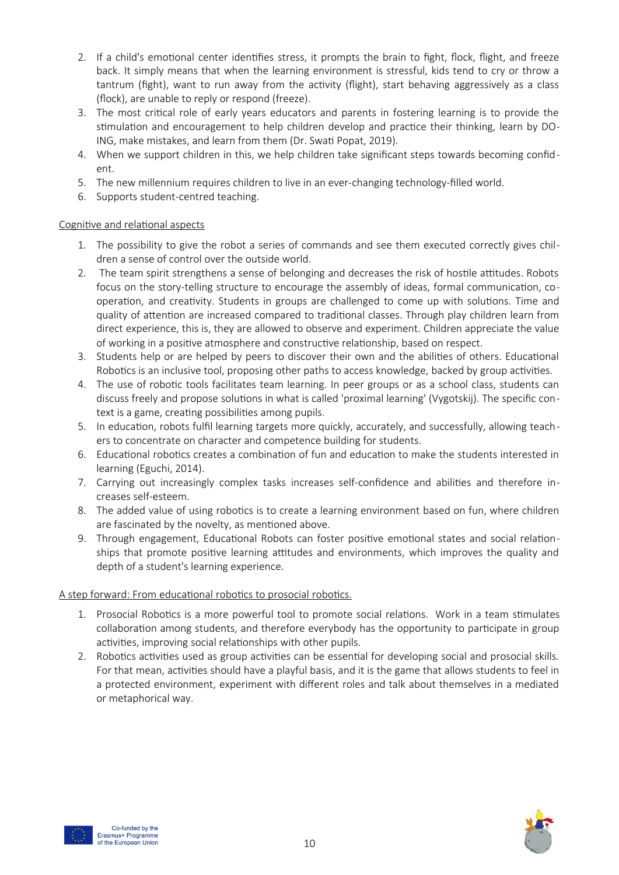- 2. If a child's emotional center identifies stress, it prompts the brain to fight, flock, flight, and freeze back. It simply means that when the learning environment is stressful, kids tend to cry or throw a tantrum (fight), want to run away from the activity (flight), start behaving aggressively as a class (flock), are unable to reply or respond (freeze).
- 3. The most critical role of early years educators and parents in fostering learning is to provide the stimulation and encouragement to help children develop and practice their thinking, learn by DO-ING, make mistakes, and learn from them (Dr. Swati Popat, 2019).
- 4. When we support children in this, we help children take significant steps towards becoming confident.
- 5. The new millennium requires children to live in an ever-changing technology-filled world.
- 6. Supports student-centred teaching.

#### Cognitive and relational aspects

- 1. The possibility to give the robot a series of commands and see them executed correctly gives children a sense of control over the outside world.
- 2. The team spirit strengthens a sense of belonging and decreases the risk of hostile attitudes. Robots focus on the story-telling structure to encourage the assembly of ideas, formal communication, cooperation, and creativity. Students in groups are challenged to come up with solutions. Time and quality of attention are increased compared to traditional classes. Through play children learn from direct experience, this is, they are allowed to observe and experiment. Children appreciate the value of working in a positive atmosphere and constructive relationship, based on respect.
- 3. Students help or are helped by peers to discover their own and the abilities of others. Educational Robotics is an inclusive tool, proposing other paths to access knowledge, backed by group activities.
- 4. The use of robotic tools facilitates team learning. In peer groups or as a school class, students can discuss freely and propose solutions in what is called 'proximal learning' (Vygotskij). The specific context is a game, creating possibilities among pupils.
- 5. In education, robots fulfil learning targets more quickly, accurately, and successfully, allowing teachers to concentrate on character and competence building for students.
- 6. Educational robotics creates a combination of fun and education to make the students interested in learning (Eguchi, 2014).
- 7. Carrying out increasingly complex tasks increases self-confidence and abilities and therefore increases self-esteem.
- 8. The added value of using robotics is to create a learning environment based on fun, where children are fascinated by the novelty, as mentioned above.
- 9. Through engagement, Educational Robots can foster positive emotional states and social relationships that promote positive learning attitudes and environments, which improves the quality and depth of a student's learning experience.

## A step forward: From educational robotics to prosocial robotics.

- 1. Prosocial Robotics is a more powerful tool to promote social relations. Work in a team stimulates collaboration among students, and therefore everybody has the opportunity to participate in group activities, improving social relationships with other pupils.
- 2. Robotics activities used as group activities can be essential for developing social and prosocial skills. For that mean, activities should have a playful basis, and it is the game that allows students to feel in a protected environment, experiment with different roles and talk about themselves in a mediated or metaphorical way.



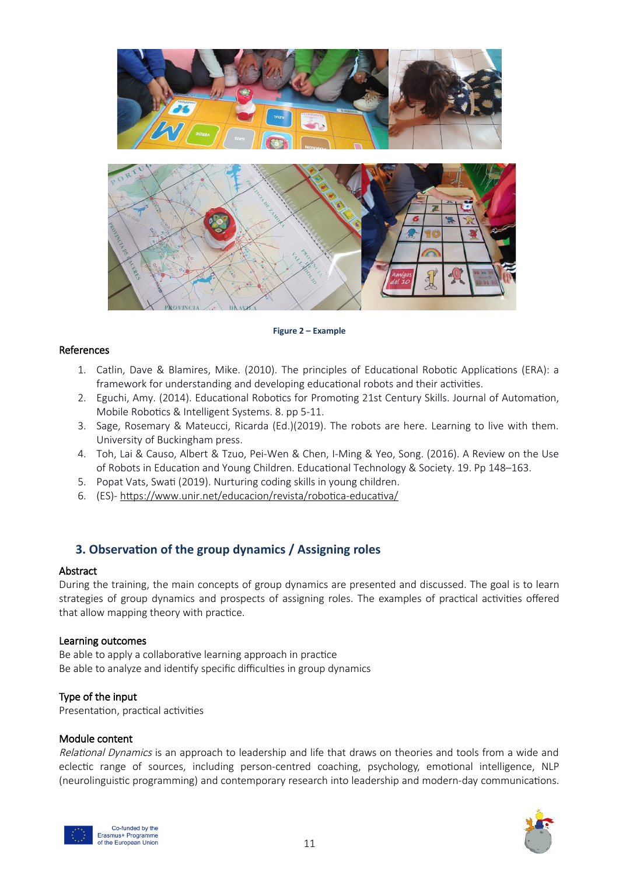

## **Figure 2 – Example**

#### References

- 1. Catlin, Dave & Blamires, Mike. (2010). The principles of Educational Robotic Applications (ERA): a framework for understanding and developing educational robots and their activities.
- 2. Eguchi, Amy. (2014). Educational Robotics for Promoting 21st Century Skills. Journal of Automation, Mobile Robotics & Intelligent Systems. 8. pp 5-11.
- 3. Sage, Rosemary & Mateucci, Ricarda (Ed.)(2019). The robots are here. Learning to live with them. University of Buckingham press.
- 4. Toh, Lai & Causo, Albert & Tzuo, Pei-Wen & Chen, I-Ming & Yeo, Song. (2016). A Review on the Use of Robots in Education and Young Children. Educational Technology & Society. 19. Pp 148–163.
- 5. Popat Vats, Swati (2019). Nurturing coding skills in young children.
- 6. (ES)- https://www.unir.net/educacion/revista/robotica-educativa/

## <span id="page-10-0"></span>**3. Observation of the group dynamics / Assigning roles**

#### Abstract

During the training, the main concepts of group dynamics are presented and discussed. The goal is to learn strategies of group dynamics and prospects of assigning roles. The examples of practical activities offered that allow mapping theory with practice.

#### Learning outcomes

Be able to apply a collaborative learning approach in practice Be able to analyze and identify specific difficulties in group dynamics

#### Type of the input

Presentation, practical activities

#### Module content

Relational Dynamics is an approach to leadership and life that draws on theories and tools from a wide and eclectic range of sources, including person-centred coaching, psychology, emotional intelligence, NLP (neurolinguistic programming) and contemporary research into leadership and modern-day communications.



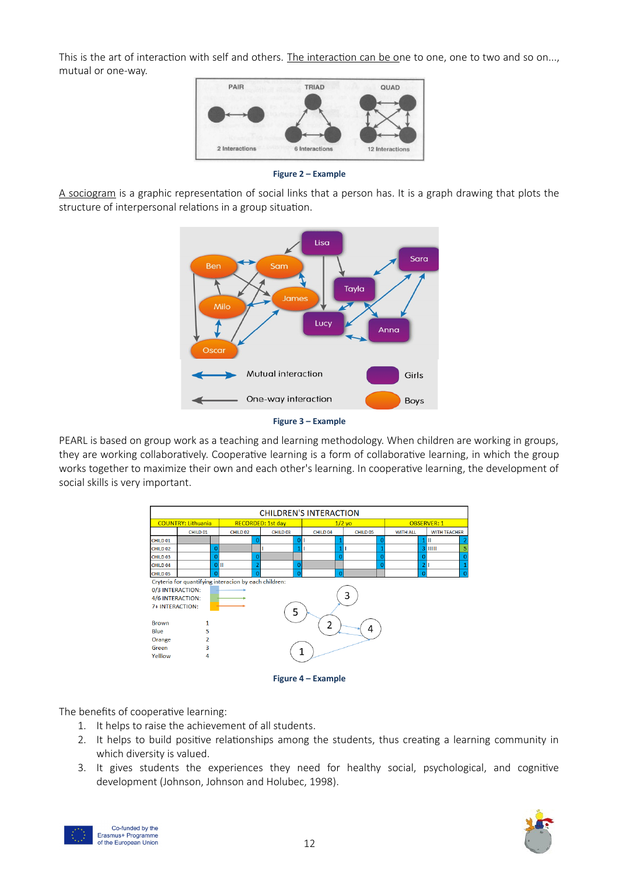This is the art of interaction with self and others. The interaction can be one to one, one to two and so on..., mutual or one-way.



**Figure 2 – Example**

A sociogram is a graphic representation of social links that a person has. It is a graph drawing that plots the structure of interpersonal relations in a group situation.





PEARL is based on group work as a teaching and learning methodology. When children are working in groups, they are working collaboratively. Cooperative learning is a form of collaborative learning, in which the group works together to maximize their own and each other's learning. In cooperative learning, the development of social skills is very important.



**Figure 4 – Example**

The benefits of cooperative learning:

- 1. It helps to raise the achievement of all students.
- 2. It helps to build positive relationships among the students, thus creating a learning community in which diversity is valued.
- 3. It gives students the experiences they need for healthy social, psychological, and cognitive development (Johnson, Johnson and Holubec, 1998).



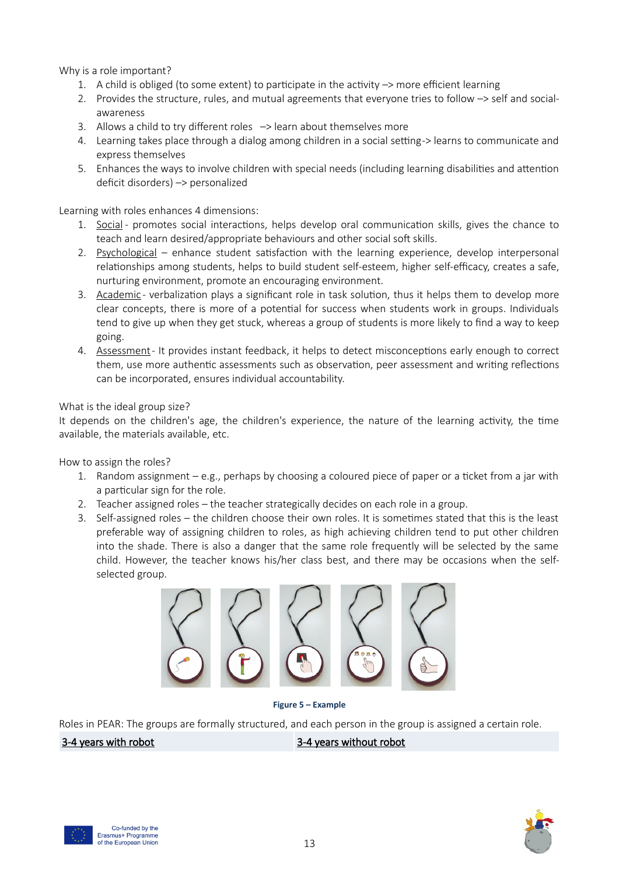Why is a role important?

- 1. A child is obliged (to some extent) to participate in the activity –> more efficient learning
- 2. Provides the structure, rules, and mutual agreements that everyone tries to follow –> self and socialawareness
- 3. Allows a child to try different roles  $\rightarrow$  learn about themselves more
- 4. Learning takes place through a dialog among children in a social setting -> learns to communicate and express themselves
- 5. Enhances the ways to involve children with special needs (including learning disabilities and attention deficit disorders) –> personalized

Learning with roles enhances 4 dimensions:

- 1. Social promotes social interactions, helps develop oral communication skills, gives the chance to teach and learn desired/appropriate behaviours and other social soft skills.
- 2. Psychological enhance student satisfaction with the learning experience, develop interpersonal relationships among students, helps to build student self-esteem, higher self-efficacy, creates a safe, nurturing environment, promote an encouraging environment.
- 3. Academic verbalization plays a significant role in task solution, thus it helps them to develop more clear concepts, there is more of a potential for success when students work in groups. Individuals tend to give up when they get stuck, whereas a group of students is more likely to find a way to keep going.
- 4. Assessment It provides instant feedback, it helps to detect misconceptions early enough to correct them, use more authentic assessments such as observation, peer assessment and writing reflections can be incorporated, ensures individual accountability.

#### What is the ideal group size?

It depends on the children's age, the children's experience, the nature of the learning activity, the time available, the materials available, etc.

How to assign the roles?

- 1. Random assignment e.g., perhaps by choosing a coloured piece of paper or a ticket from a jar with a particular sign for the role.
- 2. Teacher assigned roles the teacher strategically decides on each role in a group.
- 3. Self-assigned roles the children choose their own roles. It is sometimes stated that this is the least preferable way of assigning children to roles, as high achieving children tend to put other children into the shade. There is also a danger that the same role frequently will be selected by the same child. However, the teacher knows his/her class best, and there may be occasions when the selfselected group.



**Figure 5 – Example**

Roles in PEAR: The groups are formally structured, and each person in the group is assigned a certain role.

3-4 years with robot 3-4 years without robot



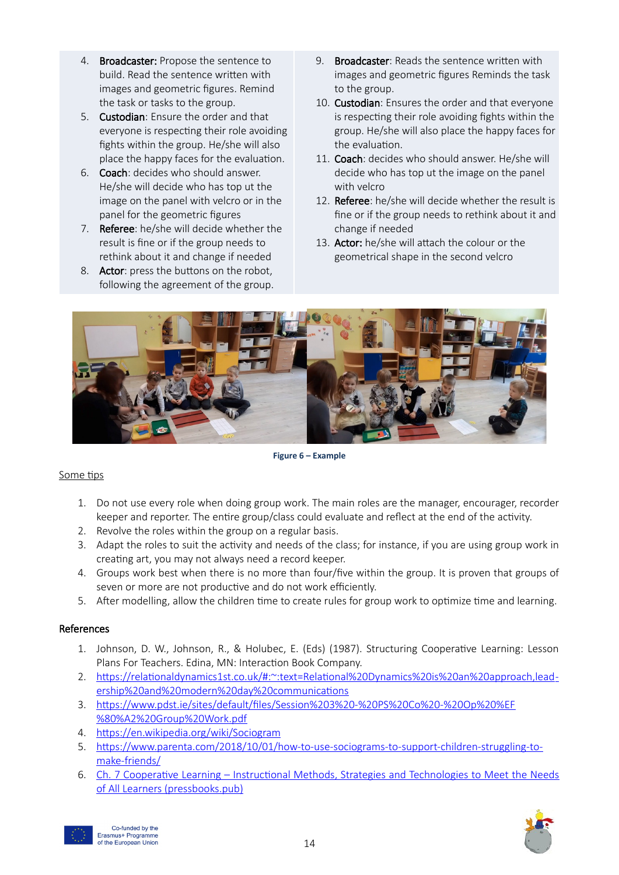- 4. Broadcaster: Propose the sentence to build. Read the sentence written with images and geometric figures. Remind the task or tasks to the group.
- 5. Custodian: Ensure the order and that everyone is respecting their role avoiding fights within the group. He/she will also place the happy faces for the evaluation.
- 6. Coach: decides who should answer. He/she will decide who has top ut the image on the panel with velcro or in the panel for the geometric figures
- 7. Referee: he/she will decide whether the result is fine or if the group needs to rethink about it and change if needed
- 8. Actor: press the buttons on the robot, following the agreement of the group.
- 9. Broadcaster: Reads the sentence written with images and geometric figures Reminds the task to the group.
- 10. Custodian: Ensures the order and that everyone is respecting their role avoiding fights within the group. He/she will also place the happy faces for the evaluation.
- 11. Coach: decides who should answer. He/she will decide who has top ut the image on the panel with velcro
- 12. Referee: he/she will decide whether the result is fine or if the group needs to rethink about it and change if needed
- 13. Actor: he/she will attach the colour or the geometrical shape in the second velcro



**Figure 6 – Example**

#### Some tips

- 1. Do not use every role when doing group work. The main roles are the manager, encourager, recorder keeper and reporter. The entire group/class could evaluate and reflect at the end of the activity.
- 2. Revolve the roles within the group on a regular basis.
- 3. Adapt the roles to suit the activity and needs of the class; for instance, if you are using group work in creating art, you may not always need a record keeper.
- 4. Groups work best when there is no more than four/five within the group. It is proven that groups of seven or more are not productive and do not work efficiently.
- 5. After modelling, allow the children time to create rules for group work to optimize time and learning.

#### References

- 1. Johnson, D. W., Johnson, R., & Holubec, E. (Eds) (1987). Structuring Cooperative Learning: Lesson Plans For Teachers. Edina, MN: Interaction Book Company.
- 2. [https://relationaldynamics1st.co.uk/#:~:text=Relational%20Dynamics%20is%20an%20approach,lead](https://relationaldynamics1st.co.uk/#:~:text=Relational%20Dynamics%20is%20an%20approach,leadership%20and%20modern%20day%20communications)  [ership%20and%20modern%20day%20communications](https://relationaldynamics1st.co.uk/#:~:text=Relational%20Dynamics%20is%20an%20approach,leadership%20and%20modern%20day%20communications)
- 3. [https://www.pdst.ie/sites/default/files/Session%203%20-%20PS%20Co%20-%20Op%20%EF](https://www.pdst.ie/sites/default/files/Session%203%20-%20PS%20Co%20-%20Op%20%EF%80%A2%20Group%20Work.pdf) [%80%A2%20Group%20Work.pdf](https://www.pdst.ie/sites/default/files/Session%203%20-%20PS%20Co%20-%20Op%20%EF%80%A2%20Group%20Work.pdf)
- 4.<https://en.wikipedia.org/wiki/Sociogram>
- 5. [https://www.parenta.com/2018/10/01/how-to-use-sociograms-to-support-children-struggling-to](https://www.parenta.com/2018/10/01/how-to-use-sociograms-to-support-children-struggling-to-make-friends/)[make-friends/](https://www.parenta.com/2018/10/01/how-to-use-sociograms-to-support-children-struggling-to-make-friends/)
- 6. [Ch. 7 Cooperative Learning Instructional Methods, Strategies and Technologies to Meet the Needs](https://granite.pressbooks.pub/teachingdiverselearners/chapter/cooperative-learning-2/) [of All Learners \(pressbooks.pub\)](https://granite.pressbooks.pub/teachingdiverselearners/chapter/cooperative-learning-2/)



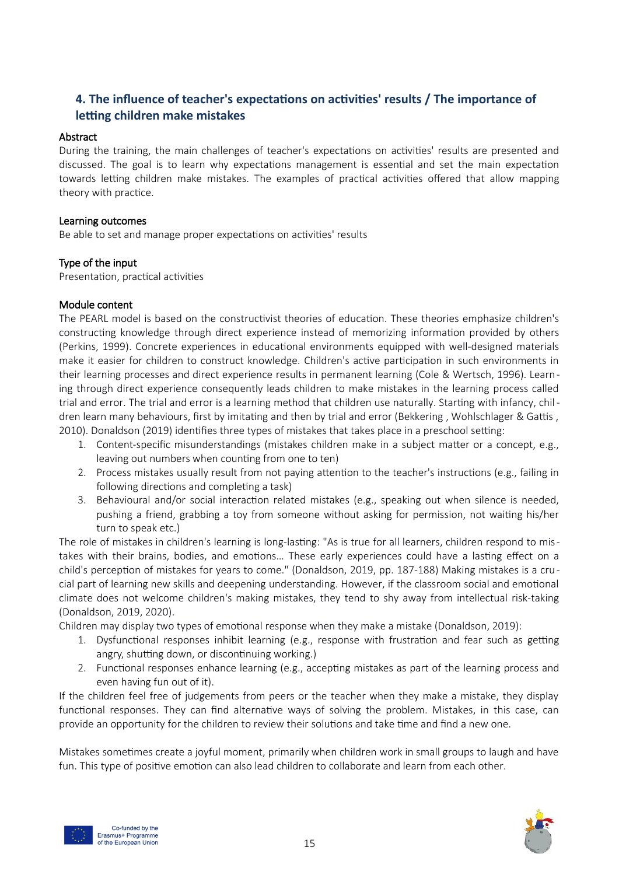## <span id="page-14-0"></span>**4. The influence of teacher's expectations on activities' results / The importance of letting children make mistakes**

#### Abstract

During the training, the main challenges of teacher's expectations on activities' results are presented and discussed. The goal is to learn why expectations management is essential and set the main expectation towards letting children make mistakes. The examples of practical activities offered that allow mapping theory with practice.

#### Learning outcomes

Be able to set and manage proper expectations on activities' results

#### Type of the input

Presentation, practical activities

#### Module content

The PEARL model is based on the constructivist theories of education. These theories emphasize children's constructing knowledge through direct experience instead of memorizing information provided by others (Perkins, 1999). Concrete experiences in educational environments equipped with well-designed materials make it easier for children to construct knowledge. Children's active participation in such environments in their learning processes and direct experience results in permanent learning (Cole & Wertsch, 1996). Learning through direct experience consequently leads children to make mistakes in the learning process called trial and error. The trial and error is a learning method that children use naturally. Starting with infancy, chil dren learn many behaviours, first by imitating and then by trial and error (Bekkering , Wohlschlager & Gattis , 2010). Donaldson (2019) identifies three types of mistakes that takes place in a preschool setting:

- 1. Content-specific misunderstandings (mistakes children make in a subject matter or a concept, e.g., leaving out numbers when counting from one to ten)
- 2. Process mistakes usually result from not paying attention to the teacher's instructions (e.g., failing in following directions and completing a task)
- 3. Behavioural and/or social interaction related mistakes (e.g., speaking out when silence is needed, pushing a friend, grabbing a toy from someone without asking for permission, not waiting his/her turn to speak etc.)

The role of mistakes in children's learning is long-lasting: "As is true for all learners, children respond to mistakes with their brains, bodies, and emotions… These early experiences could have a lasting effect on a child's perception of mistakes for years to come." (Donaldson, 2019, pp. 187-188) Making mistakes is a cru cial part of learning new skills and deepening understanding. However, if the classroom social and emotional climate does not welcome children's making mistakes, they tend to shy away from intellectual risk-taking (Donaldson, 2019, 2020).

Children may display two types of emotional response when they make a mistake (Donaldson, 2019):

- 1. Dysfunctional responses inhibit learning (e.g., response with frustration and fear such as getting angry, shutting down, or discontinuing working.)
- 2. Functional responses enhance learning (e.g., accepting mistakes as part of the learning process and even having fun out of it).

If the children feel free of judgements from peers or the teacher when they make a mistake, they display functional responses. They can find alternative ways of solving the problem. Mistakes, in this case, can provide an opportunity for the children to review their solutions and take time and find a new one.

Mistakes sometimes create a joyful moment, primarily when children work in small groups to laugh and have fun. This type of positive emotion can also lead children to collaborate and learn from each other.



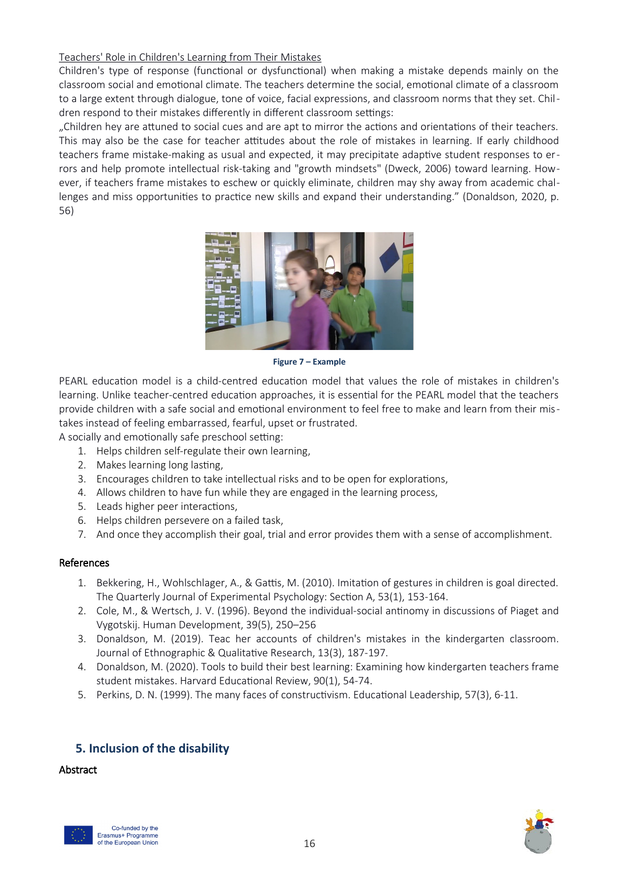#### Teachers' Role in Children's Learning from Their Mistakes

Children's type of response (functional or dysfunctional) when making a mistake depends mainly on the classroom social and emotional climate. The teachers determine the social, emotional climate of a classroom to a large extent through dialogue, tone of voice, facial expressions, and classroom norms that they set. Children respond to their mistakes differently in different classroom settings:

"Children hey are attuned to social cues and are apt to mirror the actions and orientations of their teachers. This may also be the case for teacher attitudes about the role of mistakes in learning. If early childhood teachers frame mistake-making as usual and expected, it may precipitate adaptive student responses to errors and help promote intellectual risk-taking and "growth mindsets" (Dweck, 2006) toward learning. However, if teachers frame mistakes to eschew or quickly eliminate, children may shy away from academic challenges and miss opportunities to practice new skills and expand their understanding." (Donaldson, 2020, p. 56)



**Figure 7 – Example**

PEARL education model is a child-centred education model that values the role of mistakes in children's learning. Unlike teacher-centred education approaches, it is essential for the PEARL model that the teachers provide children with a safe social and emotional environment to feel free to make and learn from their mistakes instead of feeling embarrassed, fearful, upset or frustrated.

A socially and emotionally safe preschool setting:

- 1. Helps children self-regulate their own learning,
- 2. Makes learning long lasting,
- 3. Encourages children to take intellectual risks and to be open for explorations,
- 4. Allows children to have fun while they are engaged in the learning process,
- 5. Leads higher peer interactions,
- 6. Helps children persevere on a failed task,
- 7. And once they accomplish their goal, trial and error provides them with a sense of accomplishment.

#### References

- 1. Bekkering, H., Wohlschlager, A., & Gattis, M. (2010). Imitation of gestures in children is goal directed. The Quarterly Journal of Experimental Psychology: Section A, 53(1), 153-164.
- 2. Cole, M., & Wertsch, J. V. (1996). Beyond the individual-social antinomy in discussions of Piaget and Vygotskij. Human Development, 39(5), 250–256
- 3. Donaldson, M. (2019). Teac her accounts of children's mistakes in the kindergarten classroom. Journal of Ethnographic & Qualitative Research, 13(3), 187-197.
- 4. Donaldson, M. (2020). Tools to build their best learning: Examining how kindergarten teachers frame student mistakes. Harvard Educational Review, 90(1), 54-74.
- 5. Perkins, D. N. (1999). The many faces of constructivism. Educational Leadership, 57(3), 6-11.

## <span id="page-15-0"></span>**5. Inclusion of the disability**

#### **Abstract**



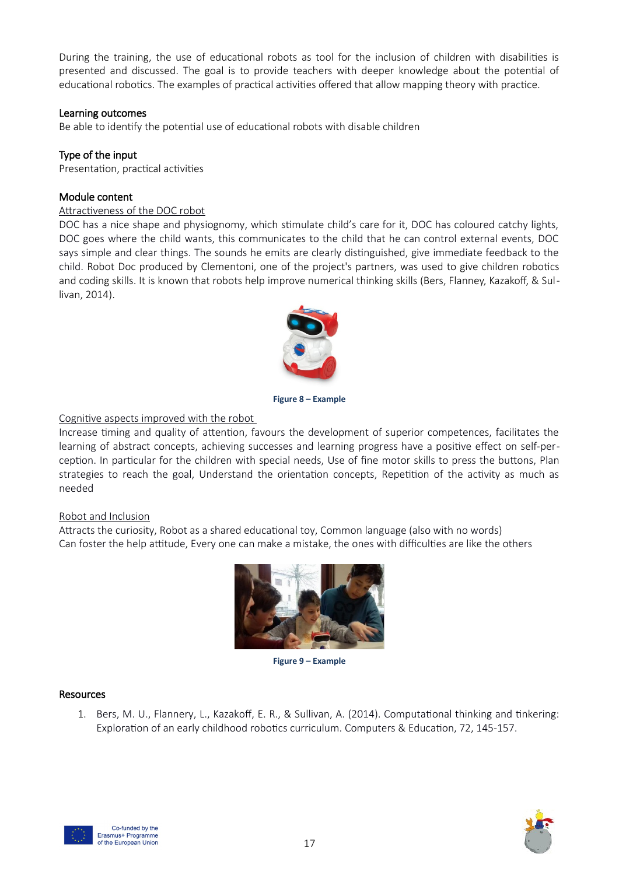During the training, the use of educational robots as tool for the inclusion of children with disabilities is presented and discussed. The goal is to provide teachers with deeper knowledge about the potential of educational robotics. The examples of practical activities offered that allow mapping theory with practice.

#### Learning outcomes

Be able to identify the potential use of educational robots with disable children

#### Type of the input

Presentation, practical activities

#### Module content

#### Attractiveness of the DOC robot

DOC has a nice shape and physiognomy, which stimulate child's care for it, DOC has coloured catchy lights, DOC goes where the child wants, this communicates to the child that he can control external events, DOC says simple and clear things. The sounds he emits are clearly distinguished, give immediate feedback to the child. Robot Doc produced by Clementoni, one of the project's partners, was used to give children robotics and coding skills. It is known that robots help improve numerical thinking skills (Bers, Flanney, Kazakoff, & Sullivan, 2014).



**Figure 8 – Example**

#### Cognitive aspects improved with the robot

Increase timing and quality of attention, favours the development of superior competences, facilitates the learning of abstract concepts, achieving successes and learning progress have a positive effect on self-perception. In particular for the children with special needs, Use of fine motor skills to press the buttons, Plan strategies to reach the goal, Understand the orientation concepts, Repetition of the activity as much as needed

#### Robot and Inclusion

Attracts the curiosity, Robot as a shared educational toy, Common language (also with no words) Can foster the help attitude, Every one can make a mistake, the ones with difficulties are like the others



**Figure 9 – Example**

#### Resources

1. Bers, M. U., Flannery, L., Kazakoff, E. R., & Sullivan, A. (2014). Computational thinking and tinkering: Exploration of an early childhood robotics curriculum. Computers & Education, 72, 145-157.



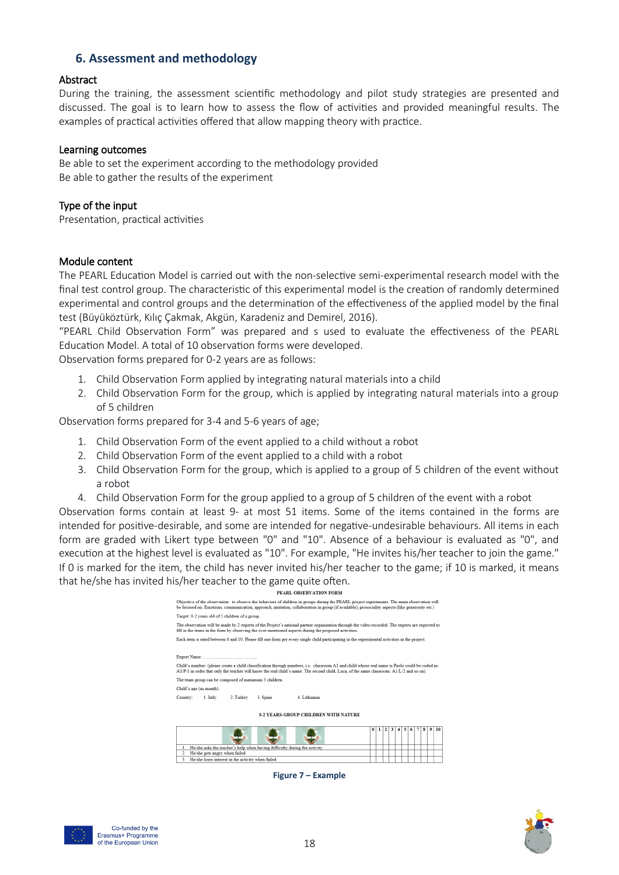## <span id="page-17-0"></span>**6. Assessment and methodology**

#### **Abstract**

During the training, the assessment scientific methodology and pilot study strategies are presented and discussed. The goal is to learn how to assess the flow of activities and provided meaningful results. The examples of practical activities offered that allow mapping theory with practice.

#### Learning outcomes

Be able to set the experiment according to the methodology provided Be able to gather the results of the experiment

#### Type of the input

Presentation, practical activities

#### Module content

The PEARL Education Model is carried out with the non-selective semi-experimental research model with the final test control group. The characteristic of this experimental model is the creation of randomly determined experimental and control groups and the determination of the effectiveness of the applied model by the final test (Büyüköztürk, Kılıç Çakmak, Akgün, Karadeniz and Demirel, 2016).

"PEARL Child Observation Form" was prepared and s used to evaluate the effectiveness of the PEARL Education Model. A total of 10 observation forms were developed.

Observation forms prepared for 0-2 years are as follows:

- 1. Child Observation Form applied by integrating natural materials into a child
- 2. Child Observation Form for the group, which is applied by integrating natural materials into a group of 5 children

Observation forms prepared for 3-4 and 5-6 years of age;

- 1. Child Observation Form of the event applied to a child without a robot
- 2. Child Observation Form of the event applied to a child with a robot
- 3. Child Observation Form for the group, which is applied to a group of 5 children of the event without a robot
- 4. Child Observation Form for the group applied to a group of 5 children of the event with a robot

Observation forms contain at least 9- at most 51 items. Some of the items contained in the forms are intended for positive-desirable, and some are intended for negative-undesirable behaviours. All items in each form are graded with Likert type between "0" and "10". Absence of a behaviour is evaluated as "0", and execution at the highest level is evaluated as "10". For example, "He invites his/her teacher to join the game." If 0 is marked for the item, the child has never invited his/her teacher to the game; if 10 is marked, it means that he/she has invited his/her teacher to the game quite often.

| PEARL OBSERVATION FORM                                                                                                                                                                                                                                                                          |  |                         |   |   |   |   |   |               |
|-------------------------------------------------------------------------------------------------------------------------------------------------------------------------------------------------------------------------------------------------------------------------------------------------|--|-------------------------|---|---|---|---|---|---------------|
| Objective of the observation: to observe the behaviors of children in groups during the PEARL project experiments. The main observation will<br>be focused on: Emotions, communication, approach, imitation, collaboration in group (if available), prosociality aspects (like generosity etc.) |  |                         |   |   |   |   |   |               |
| Target: 0-2 years old of 5 children of a group.                                                                                                                                                                                                                                                 |  |                         |   |   |   |   |   |               |
| The observation will be made by 2 experts of the Project's national partner organization through the video recorded. The experts are expected to<br>fill in the items in the form by observing the over-mentioned aspects during the proposed activities.                                       |  |                         |   |   |   |   |   |               |
| Each item is rated between 0 and 10. Please fill one form per every single child participating in the experimental activities in the project.                                                                                                                                                   |  |                         |   |   |   |   |   |               |
|                                                                                                                                                                                                                                                                                                 |  |                         |   |   |   |   |   |               |
|                                                                                                                                                                                                                                                                                                 |  |                         |   |   |   |   |   |               |
| Child's number: (please create a child classification through numbers, i.e. classroom A1 and child whose real name is Paolo could be coded as:<br>A1/P/1 in order that only the teacher will know the real child's name. The second child, Luca, of the same classroom: A1/L/2 and so on).      |  |                         |   |   |   |   |   |               |
| The team group can be composed of maximum 5 children.                                                                                                                                                                                                                                           |  |                         |   |   |   |   |   |               |
| Child's age (as month):                                                                                                                                                                                                                                                                         |  |                         |   |   |   |   |   |               |
| Country:<br>2. Turkey<br>4 Lithuania<br>1. Italy<br>3. Spain                                                                                                                                                                                                                                    |  |                         |   |   |   |   |   |               |
|                                                                                                                                                                                                                                                                                                 |  |                         |   |   |   |   |   |               |
| <b>0-2 YEARS-GROUP CHILDREN WITH NATURE</b>                                                                                                                                                                                                                                                     |  |                         |   |   |   |   |   |               |
|                                                                                                                                                                                                                                                                                                 |  | $\overline{\mathbf{c}}$ | 3 | 4 | 5 | s | 9 | $\mathbf{10}$ |
| He/she asks the teacher's help when having difficulty during the activity<br>1.                                                                                                                                                                                                                 |  |                         |   |   |   |   |   |               |
| He/she gets angry when failed<br>$2^{\circ}$                                                                                                                                                                                                                                                    |  |                         |   |   |   |   |   |               |
| 3.<br>He/she loses interest in the activity when failed                                                                                                                                                                                                                                         |  |                         |   |   |   |   |   |               |
|                                                                                                                                                                                                                                                                                                 |  |                         |   |   |   |   |   |               |

**Figure 7 – Example**